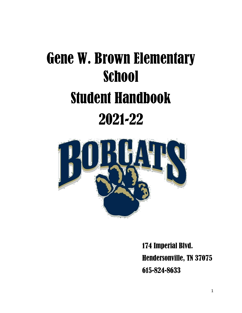# Gene W. Brown Elementary **School** Student Handbook 2021-22



174 Imperial Blvd. Hendersonville, TN 37075 615-824-8633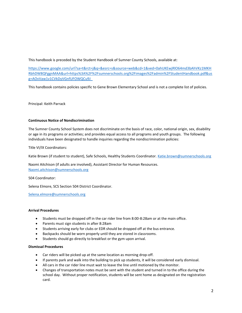This handbook is preceded by the Student Handbook of Sumner County Schools, available at:

[https://www.google.com/url?sa=t&rct=j&q=&esrc=s&source=web&cd=1&ved=0ahUKEwjRlO64md3bAhVKz1MKH](https://www.google.com/url?sa=t&rct=j&q=&esrc=s&source=web&cd=1&ved=0ahUKEwjRlO64md3bAhVKz1MKHRbhDW8QFggnMAA&url=https%3A%2F%2Fsumnerschools.org%2Fimages%2Fadmin%2FStudentHandbook.pdf&usg=AOvVaw1v1CVkDyVGnfUFOWQCu9J_) [RbhDW8QFggnMAA&url=https%3A%2F%2Fsumnerschools.org%2Fimages%2Fadmin%2FStudentHandbook.pdf&us](https://www.google.com/url?sa=t&rct=j&q=&esrc=s&source=web&cd=1&ved=0ahUKEwjRlO64md3bAhVKz1MKHRbhDW8QFggnMAA&url=https%3A%2F%2Fsumnerschools.org%2Fimages%2Fadmin%2FStudentHandbook.pdf&usg=AOvVaw1v1CVkDyVGnfUFOWQCu9J_) [g=AOvVaw1v1CVkDyVGnfUFOWQCu9J\\_](https://www.google.com/url?sa=t&rct=j&q=&esrc=s&source=web&cd=1&ved=0ahUKEwjRlO64md3bAhVKz1MKHRbhDW8QFggnMAA&url=https%3A%2F%2Fsumnerschools.org%2Fimages%2Fadmin%2FStudentHandbook.pdf&usg=AOvVaw1v1CVkDyVGnfUFOWQCu9J_)

This handbook contains policies specific to Gene Brown Elementary School and is not a complete list of policies.

Principal: Keith Parrack

# **Continuous Notice of Nondiscrimination**

The Sumner County School System does not discriminate on the basis of race, color, national origin, sex, disability or age in its programs or activities; and provides equal access to all programs and youth groups. The following individuals have been designated to handle inquiries regarding the nondiscrimination policies:

Title VI/IX Coordinators:

Katie Brown (if student to student), Safe Schools, Healthy Students Coordinator. [Katie.brown@sumnerschools.org](mailto:Katie.brown@sumnerschools.org)

Naomi Aitchison (if adults are involved), Assistant Director for Human Resources. [Naomi.aitchison@sumnerschools.org](mailto:Naomi.aitchison@sumnerschools.org)

504 Coordinator:

Selena Elmore, SCS Section 504 District Coordinator.

[Selena.elmore@sumnerschools.org](mailto:Selena.elmore@sumnerschools.org)

## **Arrival Procedures**

- Students must be dropped off in the car rider line from 8:00-8:28am or at the main office.
- Parents must sign students in after 8:28am
- Students arriving early for clubs or EDR should be dropped off at the bus entrance.
- Backpacks should be worn properly until they are stored in classrooms.
- Students should go directly to breakfast or the gym upon arrival.

## **Dismissal Procedures**

- Car riders will be picked up at the same location as morning drop-off.
- If parents park and walk into the building to pick up students, it will be considered early dismissal.
- All cars in the car rider line must wait to leave the line until motioned by the monitor.
- Changes of transportation notes must be sent with the student and turned in to the office during the school day. Without proper notification, students will be sent home as designated on the registration card.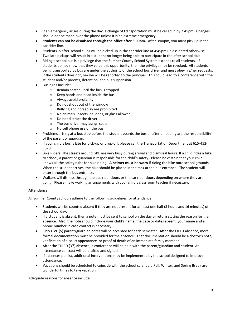- If an emergency arises during the day, a change of transportation must be called in by 2:45pm. Changes should not be made over the phone unless it is an extreme emergency.
- **Students can not be dismissed through the office after 3:00pm.** After 3:00pm, you must pick up in the car rider line.
- Students in after-school clubs will be picked up in the car rider line at 4:45pm unless noted otherwise. Two late pickups will result in a student no longer being able to participate in the after-school club.
- Riding a school bus is a privilege that the Sumner County School System extends to all students. If students do not show that they value this opportunity, then the privilege may be revoked. All students being transported by bus are under the authority of the school bus driver and must obey his/her requests. If the students does not, he/she will be reported to the principal. This could lead to a conference with the student and/or parents, detention, and bus suspension.
- Bus rules include:
	- o Remain seated until the bus is stopped
	- o Keep hands and head inside the bus
	- o Always avoid profanity
	- o Do not shout out of the window
	- o Bullying and horseplay are prohibited
	- o No animals, insects, balloons, or glass allowed
	- o Do not distract the driver
	- o The bus driver may assign seats
	- o No cell phone use on the bus
- Problems arising at a bus stop before the student boards the bus or after unloading are the responsibility of the parent or guardian.
- If your child's bus is late for pick-up or drop-off, please call the Transportation Department at 615-452- 1520.
- Bike Riders: The streets around GBE are very busy during arrival and dismissal hours. If a child rides a bike to school, a parent or guardian is responsible for the child's safety. Please be certain that your child knows all the safety rules for bike riding. **A helmet must be worn** if riding the bike onto school grounds. When the student arrives, the bike should be placed in the rack at the bus entrance. The student will enter through the bus entrance.
- Walkers will dismiss through the bus rider doors or the car rider doors depending on where they are going. Please make walking arrangements with your child's classroom teacher if necessary.

# **Attendance**

All Sumner County schools adhere to the following guidelines for attendance:

- Students will be counted absent if they are not present for at least one half (3 hours and 16 minutes) of the school day.
- If a student is absent, then a note must be sent to school on the day of return stating the reason for the absence. Also, the note should include your child's name, the date or dates absent, your name and a phone number in case contact is necessary.
- Only FIVE (5) parent/guardian notes will be accepted for each semester. After the FIFTH absence, more formal documentation must be provided for the absence. That documentation should be a doctor's note, verification of a court appearance, or proof of death of an immediate family member.
- After the THIRD  $(3<sup>rd</sup>)$  absence, a conference will be held with the parent/guardian and student. An attendance contract will be drafted and signed.
- If absences persist, additional interventions may be implemented by the school designed to improve attendance.
- Vacations should be scheduled to coincide with the school calendar. Fall, Winter, and Spring Break are wonderful times to take vacation.

Adequate reasons for absence include: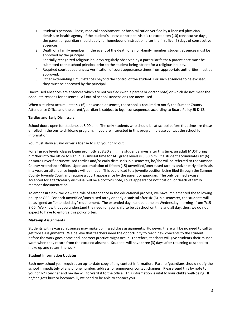- 1. Student's personal illness, medical appointment, or hospitalization verified by a licensed physician, dentist, or health agency: If the student's illness or hospital visit is to exceed ten (10) consecutive days, the parent or guardian should apply for homebound instruction after the first five (5) days of consecutive absences.
- 2. Death of a family member: In the event of the death of a non-family member, student absences must be approved by the principal.
- 3. Specially recognized religious holidays regularly observed by a particular faith: A parent note must be submitted to the school principal prior to the student being absent for a religious holiday.
- 4. Required court appearances: Verification of court appearance times from appropriate authorities must be approved.
- 5. Other extenuating circumstances beyond the control of the student: For such absences to be excused, they must be approved by the principal.

Unexcused absences are absences which are not verified (with a parent or doctor note) or which do not meet the adequate reasons for absences. All out-of-school suspensions are unexcused.

When a student accumulates six (6) unexcused absences, the school is required to notify the Sumner County Attendance Office and the parent/guardian is subject to legal consequences according to Board Policy JB K-12.

## **Tardies and Early Dismissals**

School doors open for students at 8:00 a.m. The only students who should be at school before that time are those enrolled in the onsite childcare program. If you are interested in this program, please contact the school for information.

You must show a valid driver's license to sign your child out.

For all grade levels, classes begin promptly at 8:30 a.m. If a student arrives after this time, an adult MUST bring him/her into the office to sign in. Dismissal time for ALL grade levels is 3:30 p.m. If a student accumulates six (6) or more unverified/unexcused tardies and/or early dismissals in a semester, he/she will be referred to the Sumner County Attendance Office. Upon accumulation of fifteen (15) unverified/unexcused tardies and/or early dismissals in a year, an attendance inquiry will be made. This could lead to a juvenile petition being filed through the Sumner County Juvenile Court and require a court appearance by the parent or guardian. The only verified excuse accepted for a tardy/early dismissal will be a doctor's note, court appearance notification, or death of family member documentation.

To emphasize how we view the role of attendance in the educational process, we have implemented the following policy at GBE: For each unverified/unexcused tardy or early dismissal after six (6) in a semester, the students will be assigned an "extended day" requirement. The extended day must be done on Wednesday mornings from 7:15- 8:00. We know that you understand the need for your child to be at school on time and all day; thus, we do not expect to have to enforce this policy often.

## **Make-up Assignments**

Students with excused absences may make up missed class assignments. However, there will be no need to call to get those assignments. We believe that teachers need the opportunity to teach new concepts to the student before the work goes home and incorrect practice might occur. Therefore, teachers will give students their missed work when they return from the excused absence. Students will have three (3) days after returning to school to make up and return the work.

## **Student Information Updates**

Each new school year requires an up-to-date copy of any contact information. Parents/guardians should notify the school immediately of any phone number, address, or emergency contact changes. Please send this by note to your child's teacher and he/she will forward it to the office. This information is vital to your child's well-being. If he/she gets hurt or becomes ill, we need to be able to contact you.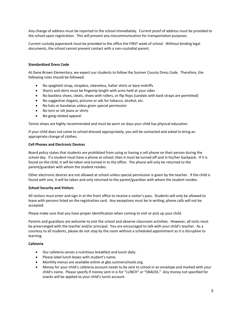Any change of address must be reported to the school immediately. Current proof of address must be provided to the school upon registration. This will prevent any miscommunication for transportation purposes.

Current custody paperwork must be provided to the office the FIRST week of school. Without binding legal documents, the school cannot prevent contact with a non-custodial parent.

## **Standardized Dress Code**

At Gene Brown Elementary, we expect our students to follow the Sumner County Dress Code. Therefore, the following rules should be followed:

- No spaghetti strap, strapless, sleeveless, halter shirts or bare midriffs
- Shorts and skirts must be fingertip length with arms held at your sides
- No backless shoes, cleats, shoes with rollers, or flip flops (sandals with back straps are permitted)
- No suggestive slogans, pictures or ads for tobacco, alcohol, etc.
- No hats or bandanas unless given special permission
- No torn or slit jeans or shirts
- No gang related apparel

Tennis shoes are highly recommended and must be worn on days your child has physical education.

If your child does not come to school dressed appropriately, you will be contacted and asked to bring an appropriate change of clothes.

## **Cell Phones and Electronic Devices**

Board policy states that students are prohibited from using or having a cell phone on their person during the school day. If a student must have a phone at school, then it must be turned off and in his/her backpack. If it is found on the child, it will be taken and turned in to the office. The phone will only be returned to the parent/guardian with whom the student resides.

Other electronic devices are not allowed at school unless special permission is given by the teacher. If the child is found with one, it will be taken and only returned to the parent/guardian with whom the student resides.

## **School Security and Visitors**

All visitors must enter and sign in at the front office to receive a visitor's pass. Students will only be allowed to leave with persons listed on the registration card. Any exceptions must be in writing; phone calls will not be accepted.

Please make sure that you have proper identification when coming to visit or pick up your child.

Parents and guardians are welcome to visit the school and observe classroom activities. However, all visits must be prearranged with the teacher and/or principal. You are encouraged to talk with your child's teacher. As a courtesy to all students, please do not stop by the room without a scheduled appointment as it is disruptive to learning.

## **Cafeteria**

- Our cafeteria serves a nutritious breakfast and lunch daily.
- Please label lunch boxes with student's name.
- Monthly menus are available online at gbe.sumnerschools.org.
- Money for your child's cafeteria account needs to be sent to school in an envelope and marked with your child's name. Please specify if money sent in is for "LUNCH" or "SNACKS." Any money not specified for snacks will be applied to your child's lunch account.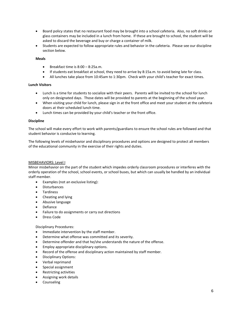- Board policy states that no restaurant food may be brought into a school cafeteria. Also, no soft drinks or glass containers may be included in a lunch from home. If these are brought to school, the student will be asked to discard the beverage and buy or charge a container of milk.
- Students are expected to follow appropriate rules and behavior in the cafeteria. Please see our discipline section below.

## **Meals**

- Breakfast time is 8:00 8:25a.m.
- If students eat breakfast at school, they need to arrive by 8:15a.m. to avoid being late for class.
- All lunches take place from 10:45am to 1:30pm. Check with your child's teacher for exact times.

# **Lunch Visitors**

- Lunch is a time for students to socialize with their peers. Parents will be invited to the school for lunch only on designated days. Those dates will be provided to parents at the beginning of the school year.
- When visiting your child for lunch, please sign in at the front office and meet your student at the cafeteria doors at their scheduled lunch time.
- Lunch times can be provided by your child's teacher or the front office.

## **Discipline**

The school will make every effort to work with parents/guardians to ensure the school rules are followed and that student behavior is conducive to learning.

The following levels of misbehavior and disciplinary procedures and options are designed to protect all members of the educational community in the exercise of their rights and duties.

# MISBEHAVIORS: Level I

Minor misbehavior on the part of the student which impedes orderly classroom procedures or interferes with the orderly operation of the school, school events, or school buses, but which can usually be handled by an individual staff member.

- Examples (not an exclusive listing):
- Disturbances
- **Tardiness**
- Cheating and lying
- Abusive language
- Defiance
- Failure to do assignments or carry out directions
- Dress Code

# Disciplinary Procedures:

- Immediate intervention by the staff member.
- Determine what offense was committed and its severity.
- Determine offender and that he/she understands the nature of the offense.
- Employ appropriate disciplinary options.
- Record of the offense and disciplinary action maintained by staff member.
- Disciplinary Options:
- Verbal reprimand
- Special assignment
- Restricting activities
- Assigning work details
- **Counseling**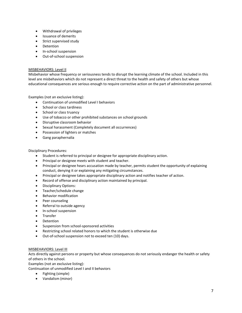- Withdrawal of privileges
- Issuance of demerits
- Strict supervised study
- Detention
- In-school suspension
- Out-of-school suspension

# MISBEHAVIORS: Level II

Misbehavior whose frequency or seriousness tends to disrupt the learning climate of the school. Included in this level are misbehaviors which do not represent a direct threat to the health and safety of others but whose educational consequences are serious enough to require corrective action on the part of administrative personnel.

Examples (not an exclusive listing):

- Continuation of unmodified Level I behaviors
- School or class tardiness
- School or class truancy
- Use of tobacco or other prohibited substances on school grounds
- Disruptive classroom behavior
- Sexual harassment (Completely document all occurrences)
- Possession of lighters or matches
- Gang paraphernalia

## Disciplinary Procedures:

- Student is referred to principal or designee for appropriate disciplinary action.
- Principal or designee meets with student and teacher.
- Principal or designee hears accusation made by teacher, permits student the opportunity of explaining conduct, denying it or explaining any mitigating circumstances.
- Principal or designee takes appropriate disciplinary action and notifies teacher of action.
- Record of offense and disciplinary action maintained by principal.
- Disciplinary Options:
- Teacher/schedule change
- Behavior modification
- Peer counseling
- Referral to outside agency
- In-school suspension
- Transfer
- Detention
- Suspension from school-sponsored activities
- Restricting school related honors to which the student is otherwise due
- Out-of-school suspension not to exceed ten (10) days.

# MISBEHAVIORS: Level III

Acts directly against persons or property but whose consequences do not seriously endanger the health or safety of others in the school.

Examples (not an exclusive listing):

Continuation of unmodified Level I and II behaviors

- Fighting (simple)
- Vandalism (minor)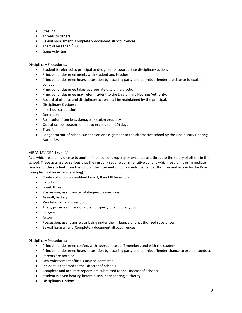- Stealing
- Threats to others
- Sexual harassment (Completely document all occurrences)
- Theft of less than \$500
- Gang Activities

Disciplinary Procedures:

- Student is referred to principal or designee for appropriate disciplinary action.
- Principal or designee meets with student and teacher.
- Principal or designee hears accusation by accusing party and permits offender the chance to explain conduct.
- Principal or designee takes appropriate disciplinary action.
- Principal or designee may refer incident to the Disciplinary Hearing Authority.
- Record of offense and disciplinary action shall be maintained by the principal.
- Disciplinary Options:
- In-school suspension
- **Detention**
- Restitution from loss, damage or stolen property
- Out-of-school suspension not to exceed ten (10) days
- Transfer
- Long term out-of-school suspension or assignment to the alternative school by the Disciplinary Hearing Authority.

# MISBEHAVIORS: Level IV

Acts which result in violence to another's person or property or which pose a threat to the safety of others in the school. These acts are so serious that they usually require administrative actions which result in the immediate removal of the student from the school, the intervention of law enforcement authorities and action by the Board. Examples (not an exclusive listing):

- Continuation of unmodified Level I, II and III behaviors
- Extortion
- Bomb threat
- Possession, use, transfer of dangerous weapons
- Assault/battery
- Vandalism of and over \$500
- Theft, possession, sale of stolen property of and over \$500
- Forgery
- Arson
- Possession, use, transfer, or being under the influence of unauthorized substances
- Sexual harassment (Completely document all occurrences)

Disciplinary Procedures:

- Principal or designee confers with appropriate staff members and with the student.
- Principal or designee hears accusation by accusing party and permits offender chance to explain conduct.
- Parents are notified.
- Law enforcement officials may be contacted.
- Incident is reported to the Director of Schools.
- Complete and accurate reports are submitted to the Director of Schools.
- Student is given hearing before disciplinary hearing authority.
- Disciplinary Options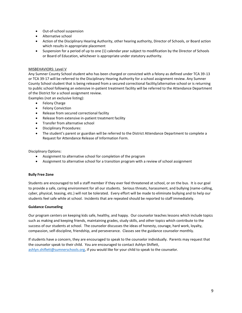- Out-of-school suspension
- Alternative school
- Action of the Disciplinary Hearing Authority, other hearing authority, Director of Schools, or Board action which results in appropriate placement
- Suspension for a period of up to one (1) calendar year subject to modification by the Director of Schools or Board of Education, whichever is appropriate under statutory authority.

# MISBEHAVIORS: Level V

Any Sumner County School student who has been charged or convicted with a felony as defined under TCA 39-13 or TCA 39-17 will be referred to the Disciplinary Hearing Authority for a school assignment review. Any Sumner County School student that is being released from a secured correctional facility/alternative school or is returning to public school following an extensive in-patient treatment facility will be referred to the Attendance Department of the District for a school assignment review.

Examples (not an exclusive listing):

- Felony Charge
- Felony Conviction
- Release from secured correctional facility
- Release from extensive in-patient treatment facility
- Transfer from alternative school
- Disciplinary Procedures:
- The student's parent or guardian will be referred to the District Attendance Department to complete a Request for Attendance Release of Information Form.

Disciplinary Options:

- Assignment to alternative school for completion of the program
- Assignment to alternative school for a transition program with a review of school assignment

## **Bully Free Zone**

Students are encouraged to tell a staff member if they ever feel threatened at school, or on the bus. It is our goal to provide a safe, caring environment for all our students. Serious threats, harassment, and bullying (name-calling, cyber, physical, teasing, etc.) will not be tolerated. Every effort will be made to eliminate bullying and to help our students feel safe while at school. Incidents that are repeated should be reported to staff immediately.

## **Guidance Counseling**

Our program centers on keeping kids safe, healthy, and happy. Our counselor teaches lessons which include topics such as making and keeping friends, maintaining grades, study skills, and other topics which contribute to the success of our students at school. The counselor discusses the ideas of honesty, courage, hard work, loyalty, compassion, self-discipline, friendship, and perseverance. Classes see the guidance counselor monthly.

If students have a concern, they are encouraged to speak to the counselor individually. Parents may request that the counselor speak to their child. You are encouraged to contact Ashlyn Shiflett, [ashlyn.shiflett@sumnerschools.org,](mailto:ashlyn.shiflett@sumnerschools.org) if you would like for your child to speak to the counselor.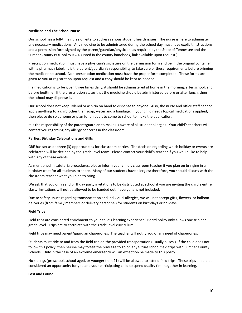## **Medicine and The School Nurse**

Our school has a full-time nurse on-site to address serious student health issues. The nurse is here to administer any necessary medications. Any medicine to be administered during the school day must have explicit instructions and a permission form signed by the parent/guardian/physician, as required by the State of Tennessee and the Sumner County BOE policy JGCD (listed in the county handbook, link available upon request.)

Prescription medication must have a physician's signature on the permission form and be in the original container with a pharmacy label. It is the parent/guardian's responsibility to take care of these requirements before bringing the medicine to school. Non-prescription medication must have the proper form completed. These forms are given to you at registration upon request and a copy should be kept as needed.

If a medication is to be given three times daily, it should be administered at home in the morning, after school, and before bedtime. If the prescription states that the medicine should be administered before or after lunch, then the school may dispense it.

Our school does not keep Tylenol or aspirin on hand to dispense to anyone. Also, the nurse and office staff cannot apply anything to a child other than soap, water and a bandage. If your child needs topical medications applied, then please do so at home or plan for an adult to come to school to make the application.

It is the responsibility of the parent/guardian to make us aware of all student allergies. Your child's teachers will contact you regarding any allergy concerns in the classroom.

## **Parties, Birthday Celebrations and Gifts**

GBE has set aside three (3) opportunities for classroom parties. The decision regarding which holiday or events are celebrated will be decided by the grade level team. Please contact your child's teacher if you would like to help with any of these events.

As mentioned in cafeteria procedures, please inform your child's classroom teacher if you plan on bringing in a birthday treat for all students to share. Many of our students have allergies; therefore, you should discuss with the classroom teacher what you plan to bring.

We ask that you only send birthday party invitations to be distributed at school if you are inviting the child's entire class. Invitations will not be allowed to be handed out if everyone is not included.

Due to safety issues regarding transportation and individual allergies, we will not accept gifts, flowers, or balloon deliveries (from family members or delivery personnel) for students on birthdays or holidays.

## **Field Trips**

Field trips are considered enrichment to your child's learning experience. Board policy only allows one trip per grade level. Trips are to correlate with the grade level curriculum.

Field trips may need parent/guardian chaperones. The teacher will notify you of any need of chaperones.

Students must ride to and from the field trip on the provided transportation (usually buses.) if the child does not follow this policy, then he/she may forfeit the privilege to go on any future school field trips with Sumner County Schools. Only in the case of an extreme emergency will an exception be made to this policy.

No siblings (preschool, school-aged, or younger than 21) will be allowed to attend field trips. These trips should be considered an opportunity for you and your participating child to spend quality time together in learning.

## **Lost and Found**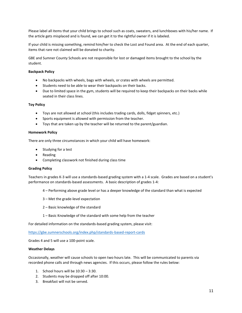Please label all items that your child brings to school such as coats, sweaters, and lunchboxes with his/her name. If the article gets misplaced and is found, we can get it to the rightful owner if it is labeled.

If your child is missing something, remind him/her to check the Lost and Found area. At the end of each quarter, items that rare not claimed will be donated to charity.

GBE and Sumner County Schools are not responsible for lost or damaged items brought to the school by the student.

## **Backpack Policy**

- No backpacks with wheels, bags with wheels, or crates with wheels are permitted.
- Students need to be able to wear their backpacks on their backs.
- Due to limited space in the gym, students will be required to keep their backpacks on their backs while seated in their class lines.

## **Toy Policy**

- Toys are not allowed at school (this includes trading cards, dolls, fidget spinners, etc.)
- Sports equipment is allowed with permission from the teacher.
- Toys that are taken up by the teacher will be returned to the parent/guardian.

## **Homework Policy**

There are only three circumstances in which your child will have homework:

- Studying for a test
- Reading
- Completing classwork not finished during class time

## **Grading Policy**

Teachers in grades K-3 will use a standards-based grading system with a 1-4 scale. Grades are based on a student's performance on standards-based assessments. A basic description of grades 1-4:

- 4 Performing above grade level or has a deeper knowledge of the standard than what is expected
- 3 Met the grade-level expectation
- 2 Basic knowledge of the standard
- 1 Basic Knowledge of the standard with some help from the teacher

For detailed information on the standards-based grading system, please visit:

## <https://gbe.sumnerschools.org/index.php/standards-based-report-cards>

Grades 4 and 5 will use a 100-point scale.

## **Weather Delays**

Occasionally, weather will cause schools to open two hours late. This will be communicated to parents via recorded phone calls and through news agencies. If this occurs, please follow the rules below:

- 1. School hours will be 10:30 3:30.
- 2. Students may be dropped off after 10:00.
- 3. Breakfast will not be served.